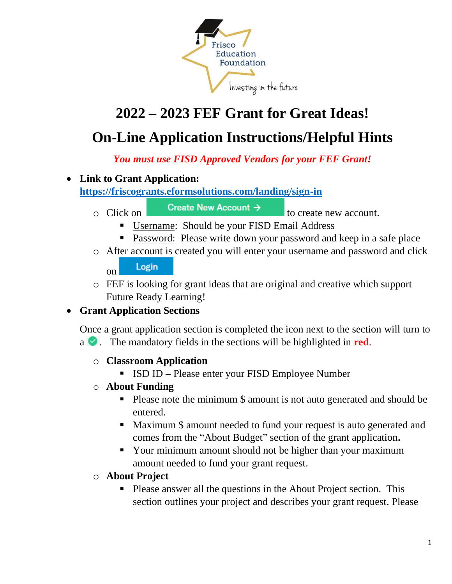

# **2022 – 2023 FEF Grant for Great Ideas!**

## **On-Line Application Instructions/Helpful Hints**

*You must use FISD Approved Vendors for your FEF Grant!* 

### • **Link to Grant Application:**

#### **<https://friscogrants.eformsolutions.com/landing/sign-in>**

- 
- 

 $\circ$  Click on **Create New Account**  $\rightarrow$  to create new account.

- Username: Should be your FISD Email Address
- **Password: Please write down your password and keep in a safe place**
- o After account is created you will enter your username and password and click Login on
- o FEF is looking for grant ideas that are original and creative which support Future Ready Learning!

## • **Grant Application Sections**

Once a grant application section is completed the icon next to the section will turn to  $a \bullet$ . The mandatory fields in the sections will be highlighted in **red**.

#### o **Classroom Application**

- ISD ID Please enter your FISD Employee Number
- o **About Funding**
	- Please note the minimum \\$ amount is not auto generated and should be entered.
	- Maximum \\$ amount needed to fund your request is auto generated and comes from the "About Budget" section of the grant application**.**
	- Your minimum amount should not be higher than your maximum amount needed to fund your grant request.
- o **About Project** 
	- Please answer all the questions in the About Project section. This section outlines your project and describes your grant request. Please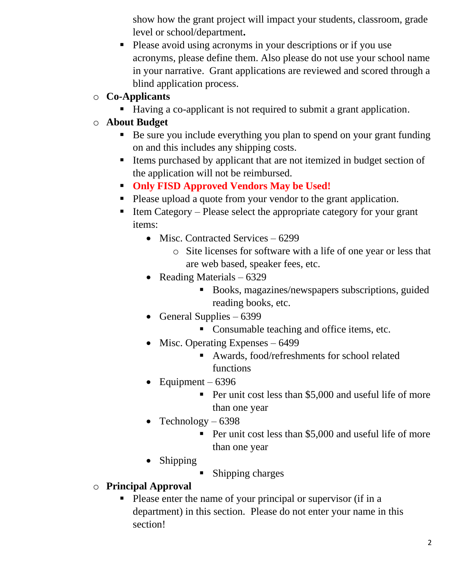show how the grant project will impact your students, classroom, grade level or school/department**.**

- Please avoid using acronyms in your descriptions or if you use acronyms, please define them. Also please do not use your school name in your narrative. Grant applications are reviewed and scored through a blind application process.
- o **Co-Applicants**
	- Having a co-applicant is not required to submit a grant application.
- o **About Budget** 
	- Be sure you include everything you plan to spend on your grant funding on and this includes any shipping costs.
	- Items purchased by applicant that are not itemized in budget section of the application will not be reimbursed.
	- **Only FISD Approved Vendors May be Used!**
	- Please upload a quote from your vendor to the grant application.
	- $\blacksquare$  Item Category Please select the appropriate category for your grant items:
		- Misc. Contracted Services 6299
			- o Site licenses for software with a life of one year or less that are web based, speaker fees, etc.
		- Reading Materials 6329
			- Books, magazines/newspapers subscriptions, guided reading books, etc.
		- General Supplies  $-6399$ 
			- Consumable teaching and office items, etc.
		- Misc. Operating Expenses 6499
			- Awards, food/refreshments for school related functions
		- Equipment  $6396$ 
			- Per unit cost less than \$5,000 and useful life of more than one year
		- Technology  $-6398$ 
			- Per unit cost less than \$5,000 and useful life of more than one year
		- Shipping
			- Shipping charges
- o **Principal Approval**
	- Please enter the name of your principal or supervisor (if in a department) in this section. Please do not enter your name in this section!